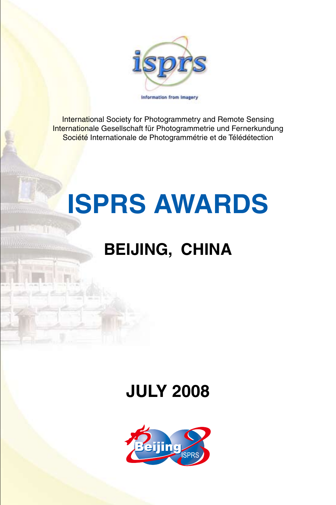

International Society for Photogrammetry and Remote Sensing Internationale Gesellschaft für Photogrammetrie und Fernerkundung Société Internationale de Photogrammétrie et de Télédétection

# **ISPRS AWARDS**

# **BEIJING, CHINA**

# **JULY 2008**

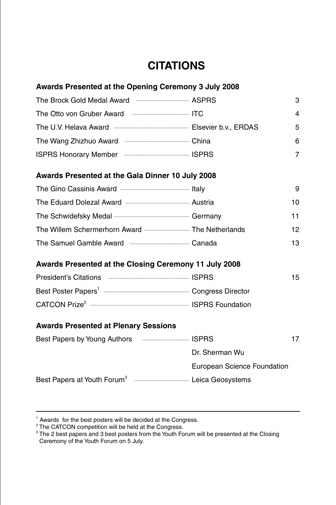## **CITATIONS**

### **Awards Presented at the Opening Ceremony 3 July 2008**

|                                                                                   | з |
|-----------------------------------------------------------------------------------|---|
| The Otto von Gruber Award Frament Award The Otto von Gruber Award                 | 4 |
| The U.V. Helava Award <b>Election Controller Street Bank</b> Elsevier b.v., ERDAS | 5 |
|                                                                                   | 6 |
|                                                                                   |   |

#### **Awards Presented at the Gala Dinner 10 July 2008**

|                                                | 9  |
|------------------------------------------------|----|
|                                                | 10 |
|                                                | 11 |
| The Willem Schermerhorn Award  The Netherlands | 12 |
| The Samuel Gamble Award municipality Canada    | 13 |

#### **Awards Presented at the Closing Ceremony 11 July 2008**

|                                                                           | 15 |
|---------------------------------------------------------------------------|----|
| Best Poster Papers <sup>1</sup> manufacture manufacture Congress Director |    |
|                                                                           |    |

#### **Awards Presented at Plenary Sessions**

| Best Papers by Young Authors |                                                                            |  |
|------------------------------|----------------------------------------------------------------------------|--|
|                              | Dr. Sherman Wu                                                             |  |
|                              | European Science Foundation                                                |  |
|                              | Best Papers at Youth Forum <sup>3</sup> <b>Example 20</b> Leica Geosystems |  |

<sup>&</sup>lt;sup>1</sup> Awards for the best posters will be decided at the Congress.

<sup>&</sup>lt;sup>2</sup> The CATCON competition will be held at the Congress.

 $3$  The 2 best papers and 3 best posters from the Youth Forum will be presented at the Closing Ceremony of the Youth Forum on 5 July.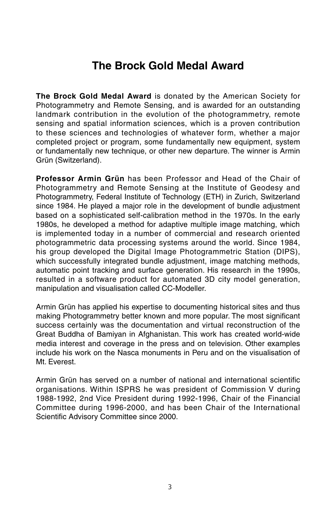## **The Brock Gold Medal Award**

**The Brock Gold Medal Award** is donated by the American Society for Photogrammetry and Remote Sensing, and is awarded for an outstanding landmark contribution in the evolution of the photogrammetry, remote sensing and spatial information sciences, which is a proven contribution to these sciences and technologies of whatever form, whether a major completed project or program, some fundamentally new equipment, system or fundamentally new technique, or other new departure. The winner is Armin Grün (Switzerland).

**Professor Armin Grün** has been Professor and Head of the Chair of Photogrammetry and Remote Sensing at the Institute of Geodesy and Photogrammetry, Federal Institute of Technology (ETH) in Zurich, Switzerland since 1984. He played a major role in the development of bundle adjustment based on a sophisticated self-calibration method in the 1970s. In the early 1980s, he developed a method for adaptive multiple image matching, which is implemented today in a number of commercial and research oriented photogrammetric data processing systems around the world. Since 1984, his group developed the Digital Image Photogrammetric Station (DIPS), which successfully integrated bundle adjustment, image matching methods, automatic point tracking and surface generation. His research in the 1990s, resulted in a software product for automated 3D city model generation, manipulation and visualisation called CC-Modeller.

Armin Grün has applied his expertise to documenting historical sites and thus making Photogrammetry better known and more popular. The most significant success certainly was the documentation and virtual reconstruction of the Great Buddha of Bamiyan in Afghanistan. This work has created world-wide media interest and coverage in the press and on television. Other examples include his work on the Nasca monuments in Peru and on the visualisation of Mt. Everest.

Armin Grün has served on a number of national and international scientific organisations. Within ISPRS he was president of Commission V during 1988-1992, 2nd Vice President during 1992-1996, Chair of the Financial Committee during 1996-2000, and has been Chair of the International Scientific Advisory Committee since 2000.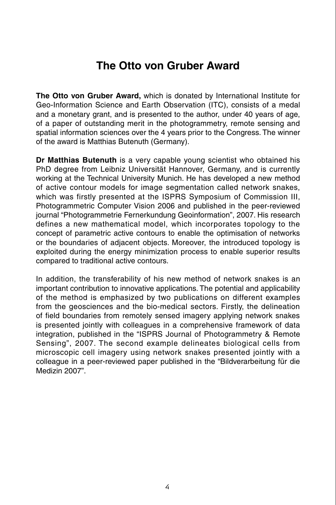## **The Otto von Gruber Award**

**The Otto von Gruber Award,** which is donated by International Institute for Geo-Information Science and Earth Observation (ITC), consists of a medal and a monetary grant, and is presented to the author, under 40 years of age, of a paper of outstanding merit in the photogrammetry, remote sensing and spatial information sciences over the 4 years prior to the Congress. The winner of the award is Matthias Butenuth (Germany).

**Dr Matthias Butenuth** is a very capable young scientist who obtained his PhD degree from Leibniz Universität Hannover, Germany, and is currently working at the Technical University Munich. He has developed a new method of active contour models for image segmentation called network snakes, which was firstly presented at the ISPRS Symposium of Commission III, Photogrammetric Computer Vision 2006 and published in the peer-reviewed journal "Photogrammetrie Fernerkundung Geoinformation", 2007. His research defines a new mathematical model, which incorporates topology to the concept of parametric active contours to enable the optimisation of networks or the boundaries of adjacent objects. Moreover, the introduced topology is exploited during the energy minimization process to enable superior results compared to traditional active contours.

In addition, the transferability of his new method of network snakes is an important contribution to innovative applications. The potential and applicability of the method is emphasized by two publications on different examples from the geosciences and the bio-medical sectors. Firstly, the delineation of field boundaries from remotely sensed imagery applying network snakes is presented jointly with colleagues in a comprehensive framework of data integration, published in the "ISPRS Journal of Photogrammetry & Remote Sensing", 2007. The second example delineates biological cells from microscopic cell imagery using network snakes presented jointly with a colleague in a peer-reviewed paper published in the "Bildverarbeitung für die Medizin 2007".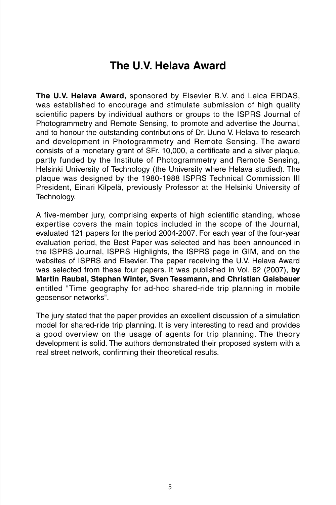## **The U.V. Helava Award**

**The U.V. Helava Award,** sponsored by Elsevier B.V. and Leica ERDAS, was established to encourage and stimulate submission of high quality scientific papers by individual authors or groups to the ISPRS Journal of Photogrammetry and Remote Sensing, to promote and advertise the Journal, and to honour the outstanding contributions of Dr. Uuno V. Helava to research and development in Photogrammetry and Remote Sensing. The award consists of a monetary grant of SFr. 10,000, a certificate and a silver plaque, partly funded by the Institute of Photogrammetry and Remote Sensing, Helsinki University of Technology (the University where Helava studied). The plaque was designed by the 1980-1988 ISPRS Technical Commission III President, Einari Kilpelä, previously Professor at the Helsinki University of Technology.

A five-member jury, comprising experts of high scientific standing, whose expertise covers the main topics included in the scope of the Journal, evaluated 121 papers for the period 2004-2007. For each year of the four-year evaluation period, the Best Paper was selected and has been announced in the ISPRS Journal, ISPRS Highlights, the ISPRS page in GIM, and on the websites of ISPRS and Elsevier. The paper receiving the U.V. Helava Award was selected from these four papers. It was published in Vol. 62 (2007), **by Martin Raubal, Stephan Winter, Sven Tessmann, and Christian Gaisbauer**  entitled "Time geography for ad-hoc shared-ride trip planning in mobile geosensor networks".

The jury stated that the paper provides an excellent discussion of a simulation model for shared-ride trip planning. It is very interesting to read and provides a good overview on the usage of agents for trip planning. The theory development is solid. The authors demonstrated their proposed system with a real street network, confirming their theoretical results.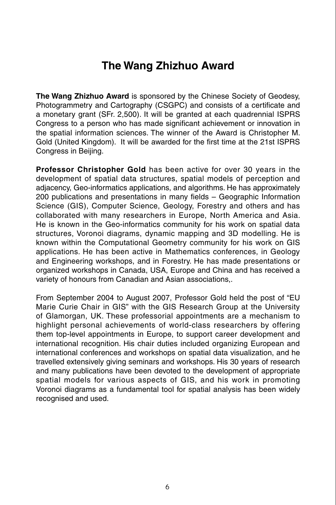## **The Wang Zhizhuo Award**

**The Wang Zhizhuo Award** is sponsored by the Chinese Society of Geodesy, Photogrammetry and Cartography (CSGPC) and consists of a certificate and a monetary grant (SFr. 2,500). It will be granted at each quadrennial ISPRS Congress to a person who has made significant achievement or innovation in the spatial information sciences. The winner of the Award is Christopher M. Gold (United Kingdom). It will be awarded for the first time at the 21st ISPRS Congress in Beijing.

**Professor Christopher Gold** has been active for over 30 years in the development of spatial data structures, spatial models of perception and adjacency, Geo-informatics applications, and algorithms. He has approximately 200 publications and presentations in many fields – Geographic Information Science (GIS), Computer Science, Geology, Forestry and others and has collaborated with many researchers in Europe, North America and Asia. He is known in the Geo-informatics community for his work on spatial data structures, Voronoi diagrams, dynamic mapping and 3D modelling. He is known within the Computational Geometry community for his work on GIS applications. He has been active in Mathematics conferences, in Geology and Engineering workshops, and in Forestry. He has made presentations or organized workshops in Canada, USA, Europe and China and has received a variety of honours from Canadian and Asian associations,.

From September 2004 to August 2007, Professor Gold held the post of "EU Marie Curie Chair in GIS" with the GIS Research Group at the University of Glamorgan, UK. These professorial appointments are a mechanism to highlight personal achievements of world-class researchers by offering them top-level appointments in Europe, to support career development and international recognition. His chair duties included organizing European and international conferences and workshops on spatial data visualization, and he travelled extensively giving seminars and workshops. His 30 years of research and many publications have been devoted to the development of appropriate spatial models for various aspects of GIS, and his work in promoting Voronoi diagrams as a fundamental tool for spatial analysis has been widely recognised and used.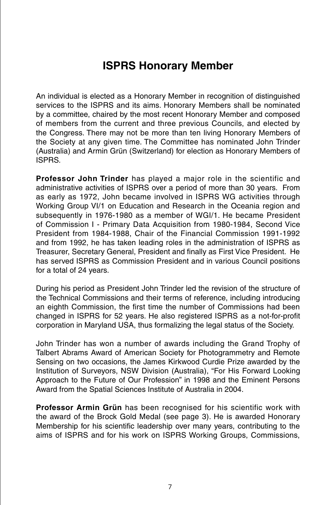## **ISPRS Honorary Member**

An individual is elected as a Honorary Member in recognition of distinguished services to the ISPRS and its aims. Honorary Members shall be nominated by a committee, chaired by the most recent Honorary Member and composed of members from the current and three previous Councils, and elected by the Congress. There may not be more than ten living Honorary Members of the Society at any given time. The Committee has nominated John Trinder (Australia) and Armin Grün (Switzerland) for election as Honorary Members of ISPRS.

**Professor John Trinder** has played a major role in the scientific and administrative activities of ISPRS over a period of more than 30 years. From as early as 1972, John became involved in ISPRS WG activities through Working Group VI/1 on Education and Research in the Oceania region and subsequently in 1976-1980 as a member of WGI/1. He became President of Commission I - Primary Data Acquisition from 1980-1984, Second Vice President from 1984-1988, Chair of the Financial Commission 1991-1992 and from 1992, he has taken leading roles in the administration of ISPRS as Treasurer, Secretary General, President and finally as First Vice President. He has served ISPRS as Commission President and in various Council positions for a total of 24 years.

During his period as President John Trinder led the revision of the structure of the Technical Commissions and their terms of reference, including introducing an eighth Commission, the first time the number of Commissions had been changed in ISPRS for 52 years. He also registered ISPRS as a not-for-profit corporation in Maryland USA, thus formalizing the legal status of the Society.

John Trinder has won a number of awards including the Grand Trophy of Talbert Abrams Award of American Society for Photogrammetry and Remote Sensing on two occasions, the James Kirkwood Curdie Prize awarded by the Institution of Surveyors, NSW Division (Australia), "For His Forward Looking Approach to the Future of Our Profession" in 1998 and the Eminent Persons Award from the Spatial Sciences Institute of Australia in 2004.

**Professor Armin Grün** has been recognised for his scientific work with the award of the Brock Gold Medal (see page 3). He is awarded Honorary Membership for his scientific leadership over many years, contributing to the aims of ISPRS and for his work on ISPRS Working Groups, Commissions,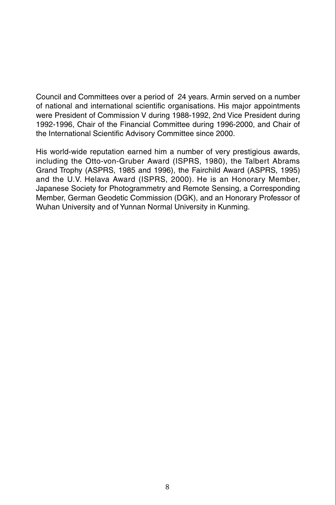Council and Committees over a period of 24 years. Armin served on a number of national and international scientific organisations. His major appointments were President of Commission V during 1988-1992, 2nd Vice President during 1992-1996, Chair of the Financial Committee during 1996-2000, and Chair of the International Scientific Advisory Committee since 2000.

His world-wide reputation earned him a number of very prestigious awards, including the Otto-von-Gruber Award (ISPRS, 1980), the Talbert Abrams Grand Trophy (ASPRS, 1985 and 1996), the Fairchild Award (ASPRS, 1995) and the U.V. Helava Award (ISPRS, 2000). He is an Honorary Member, Japanese Society for Photogrammetry and Remote Sensing, a Corresponding Member, German Geodetic Commission (DGK), and an Honorary Professor of Wuhan University and of Yunnan Normal University in Kunming.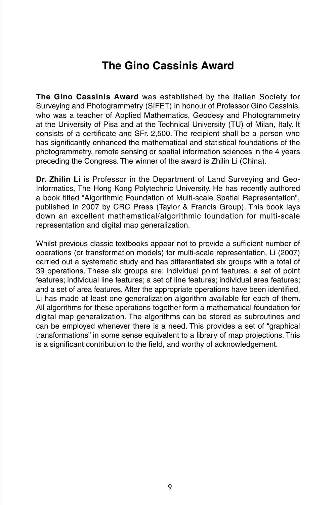## **The Gino Cassinis Award**

**The Gino Cassinis Award** was established by the Italian Society for Surveying and Photogrammetry (SIFET) in honour of Professor Gino Cassinis, who was a teacher of Applied Mathematics, Geodesy and Photogrammetry at the University of Pisa and at the Technical University (TU) of Milan, Italy. It consists of a certificate and SFr. 2,500. The recipient shall be a person who has significantly enhanced the mathematical and statistical foundations of the photogrammetry, remote sensing or spatial information sciences in the 4 years preceding the Congress. The winner of the award is Zhilin Li (China).

**Dr. Zhilin Li** is Professor in the Department of Land Surveying and Geo-Informatics, The Hong Kong Polytechnic University. He has recently authored a book titled "Algorithmic Foundation of Multi-scale Spatial Representation", published in 2007 by CRC Press (Taylor & Francis Group). This book lays down an excellent mathematical/algorithmic foundation for multi-scale representation and digital map generalization.

Whilst previous classic textbooks appear not to provide a sufficient number of operations (or transformation models) for multi-scale representation, Li (2007) carried out a systematic study and has differentiated six groups with a total of 39 operations. These six groups are: individual point features; a set of point features; individual line features; a set of line features; individual area features; and a set of area features. After the appropriate operations have been identified, Li has made at least one generalization algorithm available for each of them. All algorithms for these operations together form a mathematical foundation for digital map generalization. The algorithms can be stored as subroutines and can be employed whenever there is a need. This provides a set of "graphical transformations" in some sense equivalent to a library of map projections. This is a significant contribution to the field, and worthy of acknowledgement.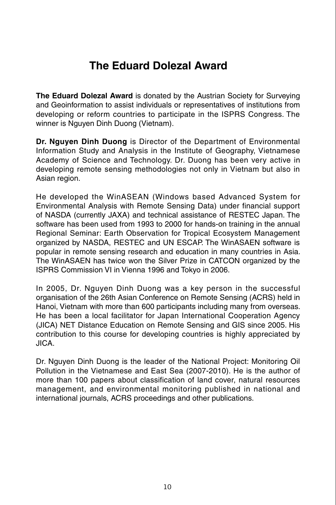## **The Eduard Dolezal Award**

**The Eduard Dolezal Award** is donated by the Austrian Society for Surveying and Geoinformation to assist individuals or representatives of institutions from developing or reform countries to participate in the ISPRS Congress. The winner is Nguyen Dinh Duong (Vietnam).

**Dr. Nguyen Dinh Duong** is Director of the Department of Environmental Information Study and Analysis in the Institute of Geography, Vietnamese Academy of Science and Technology. Dr. Duong has been very active in developing remote sensing methodologies not only in Vietnam but also in Asian region.

He developed the WinASEAN (Windows based Advanced System for Environmental Analysis with Remote Sensing Data) under financial support of NASDA (currently JAXA) and technical assistance of RESTEC Japan. The software has been used from 1993 to 2000 for hands-on training in the annual Regional Seminar: Earth Observation for Tropical Ecosystem Management organized by NASDA, RESTEC and UN ESCAP. The WinASAEN software is popular in remote sensing research and education in many countries in Asia. The WinASAEN has twice won the Silver Prize in CATCON organized by the ISPRS Commission VI in Vienna 1996 and Tokyo in 2006.

In 2005, Dr. Nguyen Dinh Duong was a key person in the successful organisation of the 26th Asian Conference on Remote Sensing (ACRS) held in Hanoi, Vietnam with more than 600 participants including many from overseas. He has been a local facilitator for Japan International Cooperation Agency (JICA) NET Distance Education on Remote Sensing and GIS since 2005. His contribution to this course for developing countries is highly appreciated by JICA.

Dr. Nguyen Dinh Duong is the leader of the National Project: Monitoring Oil Pollution in the Vietnamese and East Sea (2007-2010). He is the author of more than 100 papers about classification of land cover, natural resources management, and environmental monitoring published in national and international journals, ACRS proceedings and other publications.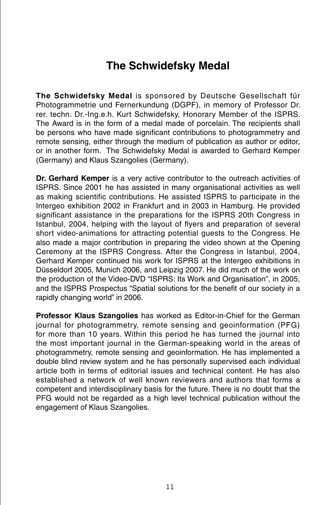## **The Schwidefsky Medal**

**The Schwidefsky Medal** is sponsored by Deutsche Gesellschaft für Photogrammetrie und Fernerkundung (DGPF), in memory of Professor Dr. rer. techn. Dr.-Ing.e.h. Kurt Schwidefsky, Honorary Member of the ISPRS. The Award is in the form of a medal made of porcelain. The recipients shall be persons who have made significant contributions to photogrammetry and remote sensing, either through the medium of publication as author or editor, or in another form. The Schwidefsky Medal is awarded to Gerhard Kemper (Germany) and Klaus Szangolies (Germany).

**Dr. Gerhard Kemper** is a very active contributor to the outreach activities of ISPRS. Since 2001 he has assisted in many organisational activities as well as making scientific contributions. He assisted ISPRS to participate in the Intergeo exhibition 2002 in Frankfurt and in 2003 in Hamburg. He provided significant assistance in the preparations for the ISPRS 20th Congress in Istanbul, 2004, helping with the layout of flyers and preparation of several short video-animations for attracting potential guests to the Congress. He also made a major contribution in preparing the video shown at the Opening Ceremony at the ISPRS Congress. After the Congress in Istanbul, 2004, Gerhard Kemper continued his work for ISPRS at the Intergeo exhibitions in Düsseldorf 2005, Munich 2006, and Leipzig 2007. He did much of the work on the production of the Video-DVD "ISPRS: Its Work and Organisation", in 2005, and the ISPRS Prospectus "Spatial solutions for the benefit of our society in a rapidly changing world" in 2006.

**Professor Klaus Szangolies** has worked as Editor-in-Chief for the German journal for photogrammetry, remote sensing and geoinformation (PFG) for more than 10 years. Within this period he has turned the journal into the most important journal in the German-speaking world in the areas of photogrammetry, remote sensing and geoinformation. He has implemented a double blind review system and he has personally supervised each individual article both in terms of editorial issues and technical content. He has also established a network of well known reviewers and authors that forms a competent and interdisciplinary basis for the future. There is no doubt that the PFG would not be regarded as a high level technical publication without the engagement of Klaus Szangolies.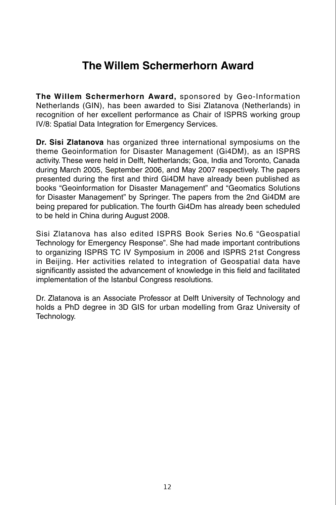## **The Willem Schermerhorn Award**

**The Willem Schermerhorn Award,** sponsored by Geo-Information Netherlands (GIN), has been awarded to Sisi Zlatanova (Netherlands) in recognition of her excellent performance as Chair of ISPRS working group IV/8: Spatial Data Integration for Emergency Services.

**Dr. Sisi Zlatanova** has organized three international symposiums on the theme Geoinformation for Disaster Management (Gi4DM), as an ISPRS activity. These were held in Delft, Netherlands; Goa, India and Toronto, Canada during March 2005, September 2006, and May 2007 respectively. The papers presented during the first and third Gi4DM have already been published as books "Geoinformation for Disaster Management" and "Geomatics Solutions for Disaster Management" by Springer. The papers from the 2nd Gi4DM are being prepared for publication. The fourth Gi4Dm has already been scheduled to be held in China during August 2008.

Sisi Zlatanova has also edited ISPRS Book Series No.6 "Geospatial Technology for Emergency Response". She had made important contributions to organizing ISPRS TC IV Symposium in 2006 and ISPRS 21st Congress in Beijing. Her activities related to integration of Geospatial data have significantly assisted the advancement of knowledge in this field and facilitated implementation of the Istanbul Congress resolutions.

Dr. Zlatanova is an Associate Professor at Delft University of Technology and holds a PhD degree in 3D GIS for urban modelling from Graz University of Technology.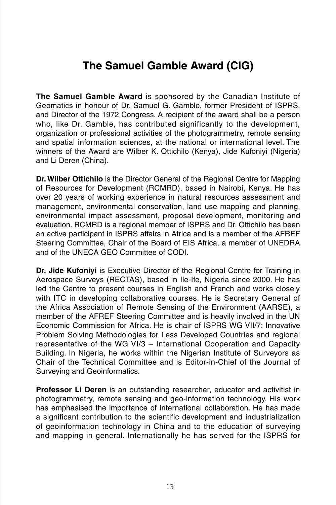## **The Samuel Gamble Award (CIG)**

**The Samuel Gamble Award** is sponsored by the Canadian Institute of Geomatics in honour of Dr. Samuel G. Gamble, former President of ISPRS, and Director of the 1972 Congress. A recipient of the award shall be a person who, like Dr. Gamble, has contributed significantly to the development, organization or professional activities of the photogrammetry, remote sensing and spatial information sciences, at the national or international level. The winners of the Award are Wilber K. Ottichilo (Kenya), Jide Kufoniyi (Nigeria) and Li Deren (China).

**Dr. Wilber Ottichilo** is the Director General of the Regional Centre for Mapping of Resources for Development (RCMRD), based in Nairobi, Kenya. He has over 20 years of working experience in natural resources assessment and management, environmental conservation, land use mapping and planning, environmental impact assessment, proposal development, monitoring and evaluation. RCMRD is a regional member of ISPRS and Dr. Ottichilo has been an active participant in ISPRS affairs in Africa and is a member of the AFREF Steering Committee, Chair of the Board of EIS Africa, a member of UNEDRA and of the UNECA GEO Committee of CODI.

**Dr. Jide Kufonivi** is Executive Director of the Regional Centre for Training in Aerospace Surveys (RECTAS), based in Ile-Ife, Nigeria since 2000. He has led the Centre to present courses in English and French and works closely with ITC in developing collaborative courses. He is Secretary General of the Africa Association of Remote Sensing of the Environment (AARSE), a member of the AFREF Steering Committee and is heavily involved in the UN Economic Commission for Africa. He is chair of ISPRS WG VII/7: Innovative Problem Solving Methodologies for Less Developed Countries and regional representative of the WG VI/3 – International Cooperation and Capacity Building. In Nigeria, he works within the Nigerian Institute of Surveyors as Chair of the Technical Committee and is Editor-in-Chief of the Journal of Surveying and Geoinformatics.

**Professor Li Deren** is an outstanding researcher, educator and activitist in photogrammetry, remote sensing and geo-information technology. His work has emphasised the importance of international collaboration. He has made a significant contribution to the scientific development and industrialization of geoinformation technology in China and to the education of surveying and mapping in general. Internationally he has served for the ISPRS for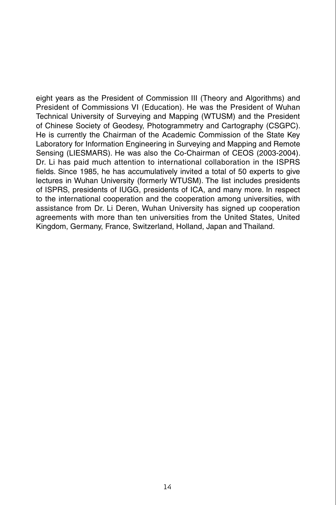eight years as the President of Commission III (Theory and Algorithms) and President of Commissions VI (Education). He was the President of Wuhan Technical University of Surveying and Mapping (WTUSM) and the President of Chinese Society of Geodesy, Photogrammetry and Cartography (CSGPC). He is currently the Chairman of the Academic Commission of the State Key Laboratory for Information Engineering in Surveying and Mapping and Remote Sensing (LIESMARS). He was also the Co-Chairman of CEOS (2003-2004). Dr. Li has paid much attention to international collaboration in the ISPRS fields. Since 1985, he has accumulatively invited a total of 50 experts to give lectures in Wuhan University (formerly WTUSM). The list includes presidents of ISPRS, presidents of IUGG, presidents of ICA, and many more. In respect to the international cooperation and the cooperation among universities, with assistance from Dr. Li Deren, Wuhan University has signed up cooperation agreements with more than ten universities from the United States, United Kingdom, Germany, France, Switzerland, Holland, Japan and Thailand.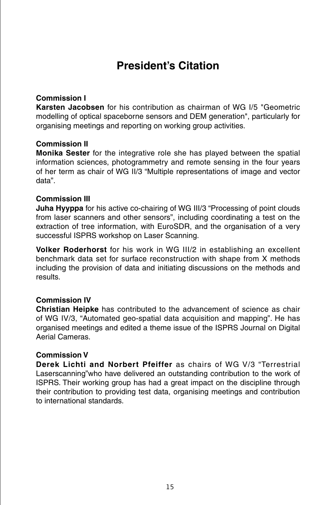## **President's Citation**

#### **Commission I**

**Karsten Jacobsen** for his contribution as chairman of WG I/5 "Geometric modelling of optical spaceborne sensors and DEM generation", particularly for organising meetings and reporting on working group activities.

#### **Commission II**

**Monika Sester** for the integrative role she has played between the spatial information sciences, photogrammetry and remote sensing in the four years of her term as chair of WG II/3 "Multiple representations of image and vector data".

#### **Commission III**

**Juha Hyyppa** for his active co-chairing of WG III/3 "Processing of point clouds from laser scanners and other sensors", including coordinating a test on the extraction of tree information, with EuroSDR, and the organisation of a very successful ISPRS workshop on Laser Scanning.

**Volker Roderhorst** for his work in WG III/2 in establishing an excellent benchmark data set for surface reconstruction with shape from X methods including the provision of data and initiating discussions on the methods and results.

#### **Commission IV**

**Christian Heipke** has contributed to the advancement of science as chair of WG IV/3, "Automated geo-spatial data acquisition and mapping". He has organised meetings and edited a theme issue of the ISPRS Journal on Digital Aerial Cameras.

#### **Commission V**

**Derek Lichti and Norbert Pfeiffer** as chairs of WG V/3 "Terrestrial Laserscanning"who have delivered an outstanding contribution to the work of ISPRS. Their working group has had a great impact on the discipline through their contribution to providing test data, organising meetings and contribution to international standards.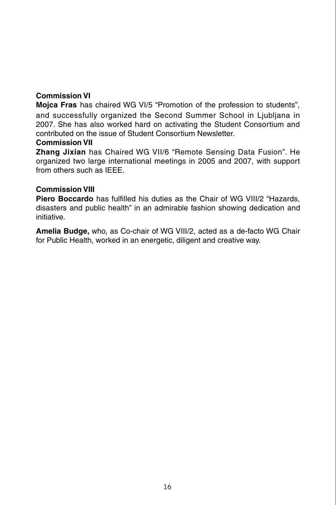#### **Commission VI**

**Mojca Fras** has chaired WG VI/5 "Promotion of the profession to students", and successfully organized the Second Summer School in Liubliana in 2007. She has also worked hard on activating the Student Consortium and contributed on the issue of Student Consortium Newsletter.

#### **Commission VII**

**Zhang Jixian** has Chaired WG VII/6 "Remote Sensing Data Fusion". He organized two large international meetings in 2005 and 2007, with support from others such as **IFFF** 

#### **Commission VIII**

**Piero Boccardo** has fulfilled his duties as the Chair of WG VIII/2 "Hazards, disasters and public health" in an admirable fashion showing dedication and initiative.

**Amelia Budge,** who, as Co-chair of WG VIII/2, acted as a de-facto WG Chair for Public Health, worked in an energetic, diligent and creative way.